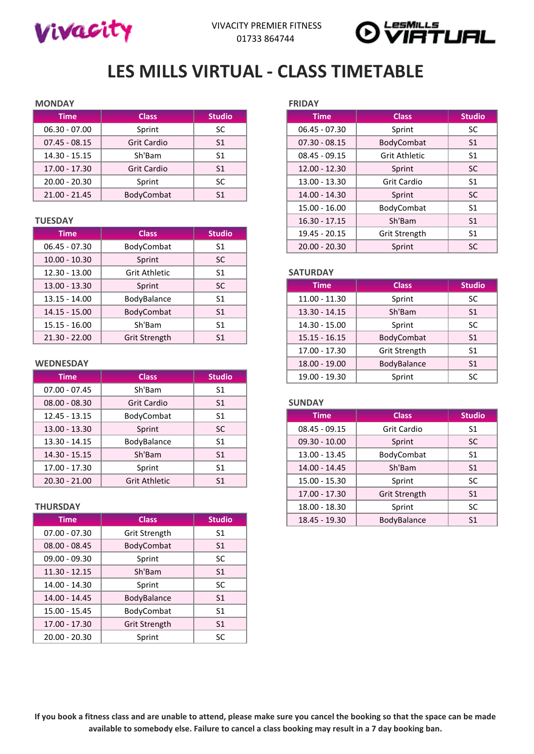



# **LES MILLS VIRTUAL - CLASS TIMETABLE**

### **MONDAY FRIDAY**

| Time            | <b>Class</b>       | <b>Studio</b>  | <b>Time</b>     | <b>Class</b>         | <b>Stuc</b>    |
|-----------------|--------------------|----------------|-----------------|----------------------|----------------|
| $06.30 - 07.00$ | Sprint             | SC             | $06.45 - 07.30$ | Sprint               | <b>SC</b>      |
| $07.45 - 08.15$ | <b>Grit Cardio</b> | S <sub>1</sub> | $07.30 - 08.15$ | BodyCombat           | S <sub>1</sub> |
| 14.30 - 15.15   | Sh'Bam             | S1             | $08.45 - 09.15$ | <b>Grit Athletic</b> | S1             |
| 17.00 - 17.30   | <b>Grit Cardio</b> | S <sub>1</sub> | $12.00 - 12.30$ | Sprint               | <b>SC</b>      |
| $20.00 - 20.30$ | Sprint             | SC.            | $13.00 - 13.30$ | <b>Grit Cardio</b>   | S1             |
| $21.00 - 21.45$ | BodyCombat         | S1             | 14.00 - 14.30   | Sprint               | <b>SC</b>      |

| <b>Time</b>     | <b>Class</b>  | <b>Studio</b>  | 19.45 - 20.15   | Grit Strength |               |
|-----------------|---------------|----------------|-----------------|---------------|---------------|
| $06.45 - 07.30$ | BodyCombat    | S <sub>1</sub> | $20.00 - 20.30$ | Sprint        |               |
| $10.00 - 10.30$ | Sprint        | <b>SC</b>      |                 |               |               |
| $12.30 - 13.00$ | Grit Athletic | S <sub>1</sub> | <b>SATURDAY</b> |               |               |
| $13.00 - 13.30$ | Sprint        | <b>SC</b>      | <b>Time</b>     | <b>Class</b>  | <b>Studio</b> |
| $13.15 - 14.00$ | BodyBalance   | S <sub>1</sub> | $11.00 - 11.30$ | Sprint        |               |
| $14.15 - 15.00$ | BodyCombat    | S <sub>1</sub> | $13.30 - 14.15$ | Sh'Bam        |               |
| $15.15 - 16.00$ | Sh'Bam        | S <sub>1</sub> | 14.30 - 15.00   | Sprint        |               |
| $21.30 - 22.00$ | Grit Strength | S <sub>1</sub> | $15.15 - 16.15$ | BodyCombat    |               |
|                 |               |                |                 |               |               |

| <b>Time</b>     | <b>Class</b>       | <b>Studio</b>  | 19.00 - 19.30   | Sprint             |  |
|-----------------|--------------------|----------------|-----------------|--------------------|--|
| $07.00 - 07.45$ | Sh'Bam             | S <sub>1</sub> |                 |                    |  |
| $08.00 - 08.30$ | <b>Grit Cardio</b> | S <sub>1</sub> | <b>SUNDAY</b>   |                    |  |
| $12.45 - 13.15$ | BodyCombat         | S <sub>1</sub> | <b>Time</b>     | <b>Class</b>       |  |
| $13.00 - 13.30$ | Sprint             | <b>SC</b>      | $08.45 - 09.15$ | <b>Grit Cardio</b> |  |
| $13.30 - 14.15$ | BodyBalance        | S <sub>1</sub> | $09.30 - 10.00$ | Sprint             |  |
| 14.30 - 15.15   | Sh'Bam             | S <sub>1</sub> | 13.00 - 13.45   | BodyCombat         |  |
| 17.00 - 17.30   | Sprint             | S <sub>1</sub> | 14.00 - 14.45   | Sh'Bam             |  |
| $20.30 - 21.00$ | Grit Athletic      | S <sub>1</sub> | $15.00 - 15.30$ | Sprint             |  |

| <b>Time</b>     | <b>Class</b>  | <b>Studio</b>  |
|-----------------|---------------|----------------|
| $07.00 - 07.30$ | Grit Strength | S1             |
| $08.00 - 08.45$ | BodyCombat    | S <sub>1</sub> |
| $09.00 - 09.30$ | Sprint        | <b>SC</b>      |
| $11.30 - 12.15$ | Sh'Bam        | S <sub>1</sub> |
| 14.00 - 14.30   | Sprint        | <b>SC</b>      |
| 14.00 - 14.45   | BodyBalance   | S <sub>1</sub> |
| 15.00 - 15.45   | BodyCombat    | S <sub>1</sub> |
| 17.00 - 17.30   | Grit Strength | S <sub>1</sub> |
| $20.00 - 20.30$ | Sprint        | <b>SC</b>      |

| <b>Time</b>     | <b>Class</b>       | <b>Studio</b>  |
|-----------------|--------------------|----------------|
| $06.30 - 07.00$ | Sprint             | SC             |
| $07.45 - 08.15$ | Grit Cardio        | S <sub>1</sub> |
| $14.30 - 15.15$ | Sh'Bam             | S1             |
| $17.00 - 17.30$ | <b>Grit Cardio</b> | S <sub>1</sub> |
| $20.00 - 20.30$ | Sprint             | <b>SC</b>      |
| $21.00 - 21.45$ | BodyCombat         | S1             |
|                 |                    |                |
| <b>TUESDAY</b>  |                    |                |
| <b>Time</b>     | <b>Class</b>       | <b>Studio</b>  |
| $06.45 - 07.30$ | BodyCombat         | S <sub>1</sub> |
|                 |                    |                |

### 12.30 - 13.00 Grit Athletic S1 **SATURDAY**

| $13.00 - 13.30$  | Sprint        | <b>SC</b>      | <b>Time</b>     | <b>Class</b>  | <b>Studio</b>  |
|------------------|---------------|----------------|-----------------|---------------|----------------|
| $13.15 - 14.00$  | BodyBalance   | S <sub>1</sub> | $11.00 - 11.30$ | Sprint        | <b>SC</b>      |
| $14.15 - 15.00$  | BodyCombat    | S <sub>1</sub> | $13.30 - 14.15$ | Sh'Bam        | S <sub>1</sub> |
| $15.15 - 16.00$  | Sh'Bam        | S <sub>1</sub> | 14.30 - 15.00   | Sprint        | <b>SC</b>      |
| $21.30 - 22.00$  | Grit Strength | S <sub>1</sub> | $15.15 - 16.15$ | BodyCombat    | S <sub>1</sub> |
|                  |               |                | 17.00 - 17.30   | Grit Strength | S <sub>1</sub> |
| <b>WEDNESDAY</b> |               |                | $18.00 - 19.00$ | BodyBalance   | S <sub>1</sub> |
| <b>Time</b>      | <b>Class</b>  | <b>Studio</b>  | 19.00 - 19.30   | Sprint        | <b>SC</b>      |

## 08.00 - 08.30 Grit Cardio S1 **SUNDAY**

| $12.45 - 13.15$ | BodyCombat           | S <sub>1</sub> | <b>Time</b>     | <b>Class</b>       | <b>Studio</b>  |
|-----------------|----------------------|----------------|-----------------|--------------------|----------------|
| $13.00 - 13.30$ | Sprint               | <b>SC</b>      | $08.45 - 09.15$ | <b>Grit Cardio</b> | S <sub>1</sub> |
| $13.30 - 14.15$ | BodyBalance          | S <sub>1</sub> | $09.30 - 10.00$ | Sprint             | <b>SC</b>      |
| $14.30 - 15.15$ | Sh'Bam               | S <sub>1</sub> | 13.00 - 13.45   | BodyCombat         | S <sub>1</sub> |
| 17.00 - 17.30   | Sprint               | S <sub>1</sub> | $14.00 - 14.45$ | Sh'Bam             | S <sub>1</sub> |
| $20.30 - 21.00$ | <b>Grit Athletic</b> | S <sub>1</sub> | $15.00 - 15.30$ | Sprint             | <b>SC</b>      |
|                 |                      |                | 17.00 - 17.30   | Grit Strength      | S <sub>1</sub> |
| <b>THURSDAY</b> |                      |                | 18.00 - 18.30   | Sprint             | <b>SC</b>      |
| <b>Time</b>     | <b>Class</b>         | <b>Studio</b>  | 18.45 - 19.30   | BodyBalance        | S <sub>1</sub> |